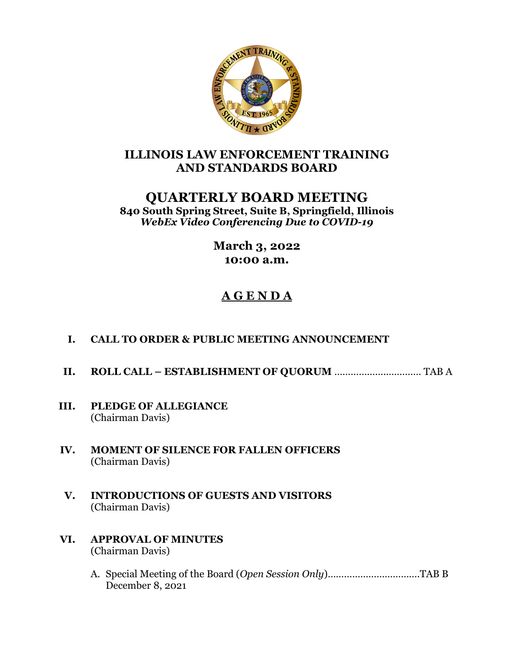

# **ILLINOIS LAW ENFORCEMENT TRAINING AND STANDARDS BOARD**

# **QUARTERLY BOARD MEETING**

**840 South Spring Street, Suite B, Springfield, Illinois** *WebEx Video Conferencing Due to COVID-19*

> **March 3, 2022 10:00 a.m.**

# **A G E N D A**

#### **I. CALL TO ORDER & PUBLIC MEETING ANNOUNCEMENT**

- **II. ROLL CALL – ESTABLISHMENT OF QUORUM** ………………..………… TAB A
- **III. PLEDGE OF ALLEGIANCE** (Chairman Davis)
- **IV. MOMENT OF SILENCE FOR FALLEN OFFICERS** (Chairman Davis)
- **V. INTRODUCTIONS OF GUESTS AND VISITORS** (Chairman Davis)
- **VI. APPROVAL OF MINUTES** (Chairman Davis)
	- A. Special Meeting of the Board (*Open Session Only*)…………………………….TAB B December 8, 2021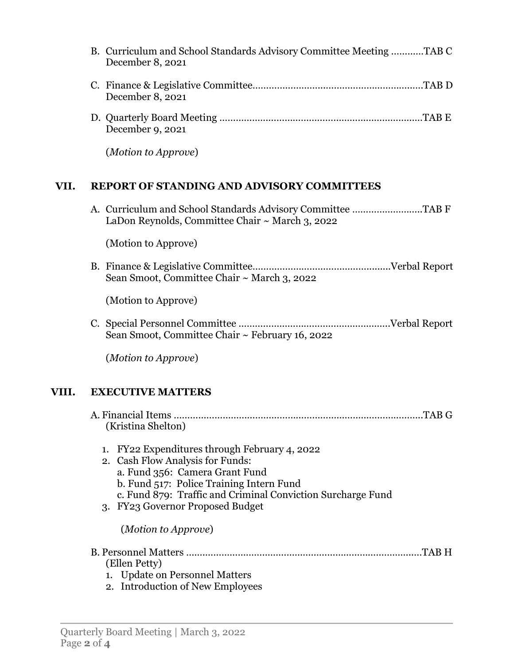|      | B. Curriculum and School Standards Advisory Committee Meeting TAB C<br>December 8, 2021 |
|------|-----------------------------------------------------------------------------------------|
|      | December 8, 2021                                                                        |
|      | December 9, 2021                                                                        |
|      | ( <i>Motion to Approve</i> )                                                            |
| VII. | <b>REPORT OF STANDING AND ADVISORY COMMITTEES</b>                                       |
|      | LaDon Reynolds, Committee Chair ~ March 3, 2022                                         |
|      | (Motion to Approve)                                                                     |
|      | Sean Smoot, Committee Chair ~ March 3, 2022                                             |
|      | (Motion to Approve)                                                                     |
|      | Sean Smoot, Committee Chair ~ February 16, 2022                                         |
|      | (Motion to Approve)                                                                     |

## **VIII. EXECUTIVE MATTERS**

| (Kristina Shelton)                                                                                                                                                                                                                                                                              | .TAB G |
|-------------------------------------------------------------------------------------------------------------------------------------------------------------------------------------------------------------------------------------------------------------------------------------------------|--------|
| FY22 Expenditures through February 4, 2022<br>2. Cash Flow Analysis for Funds:<br>a. Fund 356: Camera Grant Fund<br>b. Fund 517: Police Training Intern Fund<br>c. Fund 879: Traffic and Criminal Conviction Surcharge Fund<br>3. FY23 Governor Proposed Budget<br>( <i>Motion to Approve</i> ) |        |
| (Ellen Petty)<br>1. Update on Personnel Matters<br>2. Introduction of New Employees                                                                                                                                                                                                             | TAB H  |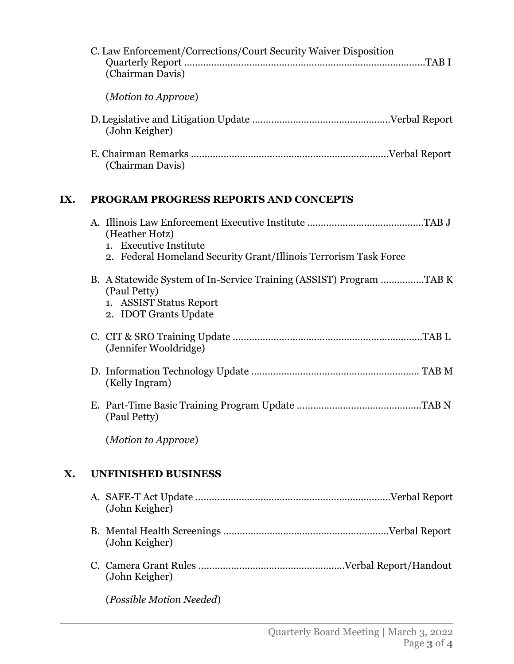| C. Law Enforcement/Corrections/Court Security Waiver Disposition<br>(Chairman Davis) |  |
|--------------------------------------------------------------------------------------|--|
| ( <i>Motion to Approve</i> )                                                         |  |
| (John Keigher)                                                                       |  |
| (Chairman Davis)                                                                     |  |

## **IX. PROGRAM PROGRESS REPORTS AND CONCEPTS**

|    | (Heather Hotz)<br>1. Executive Institute<br>2. Federal Homeland Security Grant/Illinois Terrorism Task Force                            |
|----|-----------------------------------------------------------------------------------------------------------------------------------------|
|    | B. A Statewide System of In-Service Training (ASSIST) Program TAB K<br>(Paul Petty)<br>1. ASSIST Status Report<br>2. IDOT Grants Update |
|    | (Jennifer Wooldridge)                                                                                                                   |
|    | (Kelly Ingram)                                                                                                                          |
|    | (Paul Petty)                                                                                                                            |
|    | (Motion to Approve)                                                                                                                     |
| Х. | <b>UNFINISHED BUSINESS</b>                                                                                                              |
|    | (John Keigher)                                                                                                                          |
|    | (John Keigher)                                                                                                                          |
|    | (John Keigher)                                                                                                                          |
|    | (Possible Motion Needed)                                                                                                                |